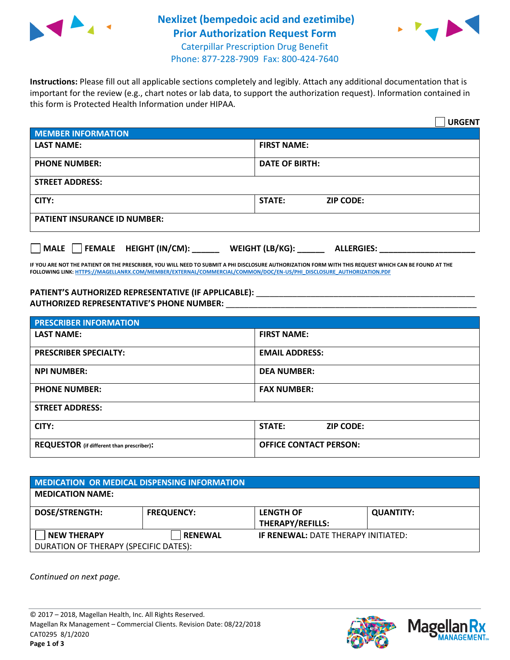

## **Nexlizet (bempedoic acid and ezetimibe) Prior Authorization Request Form** Caterpillar Prescription Drug Benefit



Phone: 877-228-7909 Fax: 800-424-7640

**Instructions:** Please fill out all applicable sections completely and legibly. Attach any additional documentation that is important for the review (e.g., chart notes or lab data, to support the authorization request). Information contained in this form is Protected Health Information under HIPAA.

|                                     | <b>URGENT</b>                          |
|-------------------------------------|----------------------------------------|
| <b>MEMBER INFORMATION</b>           |                                        |
| <b>LAST NAME:</b>                   | <b>FIRST NAME:</b>                     |
| <b>PHONE NUMBER:</b>                | <b>DATE OF BIRTH:</b>                  |
| <b>STREET ADDRESS:</b>              |                                        |
| CITY:                               | <b>ZIP CODE:</b><br>STATE:             |
| <b>PATIENT INSURANCE ID NUMBER:</b> |                                        |
| FEMALE HEIGHT (IN/CM):<br>    MALE  | WEIGHT (LB/KG): _<br><b>ALLERGIES:</b> |

**IF YOU ARE NOT THE PATIENT OR THE PRESCRIBER, YOU WILL NEED TO SUBMIT A PHI DISCLOSURE AUTHORIZATION FORM WITH THIS REQUEST WHICH CAN BE FOUND AT THE FOLLOWING LINK[: HTTPS://MAGELLANRX.COM/MEMBER/EXTERNAL/COMMERCIAL/COMMON/DOC/EN-US/PHI\\_DISCLOSURE\\_AUTHORIZATION.PDF](https://magellanrx.com/member/external/commercial/common/doc/en-us/PHI_Disclosure_Authorization.pdf)**

PATIENT'S AUTHORIZED REPRESENTATIVE (IF APPLICABLE): \_\_\_\_\_\_\_\_\_\_\_\_\_\_\_\_\_\_\_\_\_\_\_\_\_\_\_ **AUTHORIZED REPRESENTATIVE'S PHONE NUMBER:** \_\_\_\_\_\_\_\_\_\_\_\_\_\_\_\_\_\_\_\_\_\_\_\_\_\_\_\_\_\_\_\_\_\_\_\_\_\_\_\_\_\_\_\_\_\_\_\_\_\_\_\_\_\_\_

| <b>PRESCRIBER INFORMATION</b>             |                               |  |
|-------------------------------------------|-------------------------------|--|
| <b>LAST NAME:</b>                         | <b>FIRST NAME:</b>            |  |
| <b>PRESCRIBER SPECIALTY:</b>              | <b>EMAIL ADDRESS:</b>         |  |
| <b>NPI NUMBER:</b>                        | <b>DEA NUMBER:</b>            |  |
| <b>PHONE NUMBER:</b>                      | <b>FAX NUMBER:</b>            |  |
| <b>STREET ADDRESS:</b>                    |                               |  |
| CITY:                                     | STATE:<br><b>ZIP CODE:</b>    |  |
| REQUESTOR (if different than prescriber): | <b>OFFICE CONTACT PERSON:</b> |  |

| MEDICATION OR MEDICAL DISPENSING INFORMATION |                   |                                            |                  |  |
|----------------------------------------------|-------------------|--------------------------------------------|------------------|--|
| <b>MEDICATION NAME:</b>                      |                   |                                            |                  |  |
| <b>DOSE/STRENGTH:</b>                        | <b>FREQUENCY:</b> | <b>LENGTH OF</b>                           | <b>QUANTITY:</b> |  |
|                                              |                   | <b>THERAPY/REFILLS:</b>                    |                  |  |
| <b>NEW THERAPY</b>                           | <b>RENEWAL</b>    | <b>IF RENEWAL: DATE THERAPY INITIATED:</b> |                  |  |
| DURATION OF THERAPY (SPECIFIC DATES):        |                   |                                            |                  |  |

*Continued on next page.*

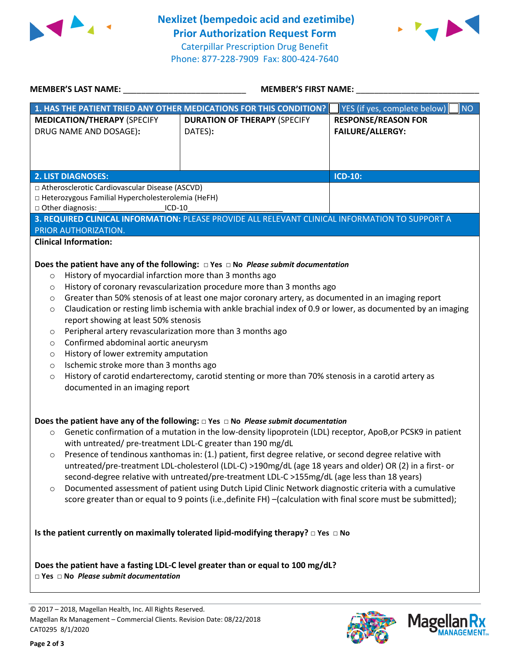



| <b>MEMBER'S LAST NAME:</b>                                                                                                                                                                                                                                                                                                                                                                | <b>MEMBER'S FIRST NAME:</b>                                                                                                                                                                                                                                                                                                                                                                                                                                                                                                                                                                                                                                                                                                                                     |                                                       |  |
|-------------------------------------------------------------------------------------------------------------------------------------------------------------------------------------------------------------------------------------------------------------------------------------------------------------------------------------------------------------------------------------------|-----------------------------------------------------------------------------------------------------------------------------------------------------------------------------------------------------------------------------------------------------------------------------------------------------------------------------------------------------------------------------------------------------------------------------------------------------------------------------------------------------------------------------------------------------------------------------------------------------------------------------------------------------------------------------------------------------------------------------------------------------------------|-------------------------------------------------------|--|
|                                                                                                                                                                                                                                                                                                                                                                                           | 1. HAS THE PATIENT TRIED ANY OTHER MEDICATIONS FOR THIS CONDITION?                                                                                                                                                                                                                                                                                                                                                                                                                                                                                                                                                                                                                                                                                              | YES (if yes, complete below)<br><b>NO</b>             |  |
| <b>MEDICATION/THERAPY (SPECIFY</b><br>DRUG NAME AND DOSAGE):                                                                                                                                                                                                                                                                                                                              | <b>DURATION OF THERAPY (SPECIFY</b><br>DATES):                                                                                                                                                                                                                                                                                                                                                                                                                                                                                                                                                                                                                                                                                                                  | <b>RESPONSE/REASON FOR</b><br><b>FAILURE/ALLERGY:</b> |  |
| <b>2. LIST DIAGNOSES:</b>                                                                                                                                                                                                                                                                                                                                                                 |                                                                                                                                                                                                                                                                                                                                                                                                                                                                                                                                                                                                                                                                                                                                                                 | <b>ICD-10:</b>                                        |  |
| □ Atherosclerotic Cardiovascular Disease (ASCVD)                                                                                                                                                                                                                                                                                                                                          |                                                                                                                                                                                                                                                                                                                                                                                                                                                                                                                                                                                                                                                                                                                                                                 |                                                       |  |
| □ Heterozygous Familial Hypercholesterolemia (HeFH)                                                                                                                                                                                                                                                                                                                                       |                                                                                                                                                                                                                                                                                                                                                                                                                                                                                                                                                                                                                                                                                                                                                                 |                                                       |  |
| $\Box$ Other diagnosis:<br>$ICD-10$                                                                                                                                                                                                                                                                                                                                                       |                                                                                                                                                                                                                                                                                                                                                                                                                                                                                                                                                                                                                                                                                                                                                                 |                                                       |  |
|                                                                                                                                                                                                                                                                                                                                                                                           | 3. REQUIRED CLINICAL INFORMATION: PLEASE PROVIDE ALL RELEVANT CLINICAL INFORMATION TO SUPPORT A                                                                                                                                                                                                                                                                                                                                                                                                                                                                                                                                                                                                                                                                 |                                                       |  |
| PRIOR AUTHORIZATION.                                                                                                                                                                                                                                                                                                                                                                      |                                                                                                                                                                                                                                                                                                                                                                                                                                                                                                                                                                                                                                                                                                                                                                 |                                                       |  |
| <b>Clinical Information:</b>                                                                                                                                                                                                                                                                                                                                                              |                                                                                                                                                                                                                                                                                                                                                                                                                                                                                                                                                                                                                                                                                                                                                                 |                                                       |  |
| History of myocardial infarction more than 3 months ago<br>$\circ$<br>O<br>O<br>O<br>report showing at least 50% stenosis<br>Peripheral artery revascularization more than 3 months ago<br>O<br>Confirmed abdominal aortic aneurysm<br>O<br>History of lower extremity amputation<br>O<br>Ischemic stroke more than 3 months ago<br>$\circ$<br>$\circ$<br>documented in an imaging report | History of coronary revascularization procedure more than 3 months ago<br>Greater than 50% stenosis of at least one major coronary artery, as documented in an imaging report<br>Claudication or resting limb ischemia with ankle brachial index of 0.9 or lower, as documented by an imaging<br>History of carotid endarterectomy, carotid stenting or more than 70% stenosis in a carotid artery as                                                                                                                                                                                                                                                                                                                                                           |                                                       |  |
| $\circ$<br>with untreated/ pre-treatment LDL-C greater than 190 mg/dL<br>О<br>$\circ$                                                                                                                                                                                                                                                                                                     | Does the patient have any of the following: $\Box$ Yes $\Box$ No Please submit documentation<br>Genetic confirmation of a mutation in the low-density lipoprotein (LDL) receptor, ApoB, or PCSK9 in patient<br>Presence of tendinous xanthomas in: (1.) patient, first degree relative, or second degree relative with<br>untreated/pre-treatment LDL-cholesterol (LDL-C) >190mg/dL (age 18 years and older) OR (2) in a first- or<br>second-degree relative with untreated/pre-treatment LDL-C >155mg/dL (age less than 18 years)<br>Documented assessment of patient using Dutch Lipid Clinic Network diagnostic criteria with a cumulative<br>score greater than or equal to 9 points (i.e., definite FH) -(calculation with final score must be submitted); |                                                       |  |
| $\Box$ Yes $\Box$ No Please submit documentation                                                                                                                                                                                                                                                                                                                                          | Is the patient currently on maximally tolerated lipid-modifying therapy? $\Box$ Yes $\Box$ No<br>Does the patient have a fasting LDL-C level greater than or equal to 100 mg/dL?                                                                                                                                                                                                                                                                                                                                                                                                                                                                                                                                                                                |                                                       |  |
|                                                                                                                                                                                                                                                                                                                                                                                           |                                                                                                                                                                                                                                                                                                                                                                                                                                                                                                                                                                                                                                                                                                                                                                 |                                                       |  |

© 2017 – 2018, Magellan Health, Inc. All Rights Reserved. Magellan Rx Management – Commercial Clients. Revision Date: 08/22/2018 CAT0295 8/1/2020



**Magella** 

**IANAGEMENT**<sub>SM</sub>